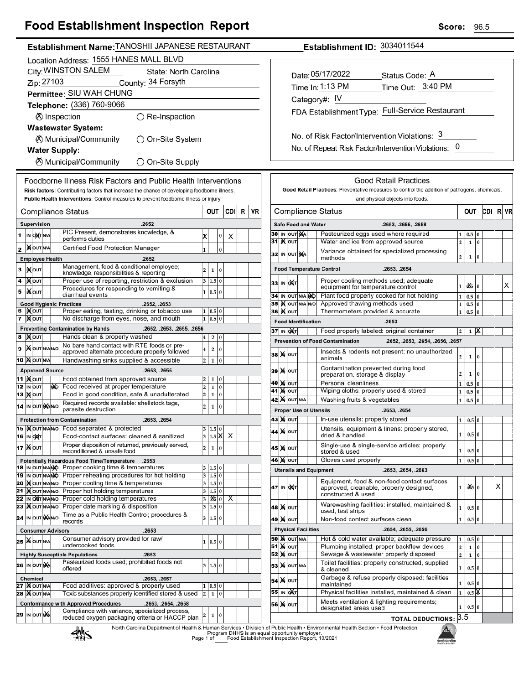## **Food Establishment Inspection Report**

| Establishment Name: TANOSHII JAPANESE RESTAURANT                                                                                            | Establishment ID: 3034011544                                                                                                                                                         |  |  |  |  |
|---------------------------------------------------------------------------------------------------------------------------------------------|--------------------------------------------------------------------------------------------------------------------------------------------------------------------------------------|--|--|--|--|
| Location Address: 1555 HANES MALL BLVD                                                                                                      |                                                                                                                                                                                      |  |  |  |  |
| City: WINSTON SALEM<br>State: North Carolina                                                                                                |                                                                                                                                                                                      |  |  |  |  |
| Zip: 27103<br>County: 34 Forsyth                                                                                                            | Date: 05/17/2022<br>Status Code: A                                                                                                                                                   |  |  |  |  |
|                                                                                                                                             | Time In: 1:13 PM<br>Time Out: 3:40 PM                                                                                                                                                |  |  |  |  |
| Permittee: SIU WAH CHUNG                                                                                                                    | Category#: IV                                                                                                                                                                        |  |  |  |  |
| Telephone: (336) 760-9066                                                                                                                   | FDA Establishment Type: Full-Service Restaurant                                                                                                                                      |  |  |  |  |
| ⊗ Inspection<br>$\bigcirc$ Re-Inspection                                                                                                    |                                                                                                                                                                                      |  |  |  |  |
| <b>Wastewater System:</b>                                                                                                                   |                                                                                                                                                                                      |  |  |  |  |
| <b><math>\oslash</math> Municipal/Community</b><br>○ On-Site System                                                                         | No. of Risk Factor/Intervention Violations: 3                                                                                                                                        |  |  |  |  |
| <b>Water Supply:</b>                                                                                                                        | No. of Repeat Risk Factor/Intervention Violations: 0                                                                                                                                 |  |  |  |  |
|                                                                                                                                             |                                                                                                                                                                                      |  |  |  |  |
| <b><math>\oslash</math> Municipal/Community</b><br>◯ On-Site Supply                                                                         |                                                                                                                                                                                      |  |  |  |  |
| Foodborne Illness Risk Factors and Public Health Interventions                                                                              | <b>Good Retail Practices</b>                                                                                                                                                         |  |  |  |  |
| Risk factors: Contributing factors that increase the chance of developing foodborne illness.                                                | Good Retail Practices: Preventative measures to control the addition of pathogens, chemicals,                                                                                        |  |  |  |  |
| Public Health Interventions: Control measures to prevent foodborne illness or injury                                                        | and physical objects into foods.                                                                                                                                                     |  |  |  |  |
| CDIR  <br><b>VR</b><br>OUT<br><b>Compliance Status</b>                                                                                      | CDI   R   VR<br><b>Compliance Status</b><br>OUT                                                                                                                                      |  |  |  |  |
| Supervision<br>.2652                                                                                                                        | <b>Safe Food and Water</b><br>.2653, .2655, .2658                                                                                                                                    |  |  |  |  |
| PIC Present, demonstrates knowledge, &<br>1  IN OXTNA<br>$\pmb{0}$<br>ЖI<br>X                                                               | 30 IN OUT NA<br>Pasteurized eggs used where required<br>$1 \t0.5 \t0$                                                                                                                |  |  |  |  |
| performs duties                                                                                                                             | 31   <b>X</b> out<br>Water and ice from approved source<br>2 <sup>1</sup><br>$1\,0$                                                                                                  |  |  |  |  |
| 2   NOUT N/A<br>Certified Food Protection Manager<br>$\bf{0}$<br>l1                                                                         | Variance obtained for specialized processing<br>32 IN OUT NA                                                                                                                         |  |  |  |  |
| .2652<br><b>Employee Health</b><br>Management, food & conditional employee;                                                                 | $\overline{2}$<br>$\mathbf 1$<br>$\overline{0}$<br>methods                                                                                                                           |  |  |  |  |
| <b>XOUT</b><br>3<br>$\overline{2}$<br>$\mathbf{1}$<br>$\pmb{0}$<br>knowledge, responsibilities & reporting                                  | <b>Food Temperature Control</b><br>.2653. .2654                                                                                                                                      |  |  |  |  |
| Proper use of reporting, restriction & exclusion<br>4   Nout<br>3   1.5   0                                                                 | Proper cooling methods used; adequate<br>33∣ ін ∣о)(т<br>$1 \mid \mathbf{0}$ \$ 0<br>X                                                                                               |  |  |  |  |
| Procedures for responding to vomiting &<br><b>XOUT</b><br> 0.5 0<br>5<br>1<br>diarrheal events                                              | equipment for temperature control                                                                                                                                                    |  |  |  |  |
| <b>Good Hygienic Practices</b><br>.2652, .2653                                                                                              | 34 IN OUT N/A NO<br>Plant food properly cooked for hot holding<br>$0.5\vert 0$<br>$\mathbf{1}$<br>35 IX OUT N/A N/O<br>Approved thawing methods used<br>$0.5\vert 0$<br>$\mathbf{1}$ |  |  |  |  |
| 6   NOUT<br>Proper eating, tasting, drinking or tobacco use<br>1   0.5   0                                                                  | Thermometers provided & accurate<br>36   Х   оит<br>0.5<br>$\bf{0}$<br>$\mathbf{1}$                                                                                                  |  |  |  |  |
| No discharge from eyes, nose, and mouth<br>$1 \ 0.5 \ 0$<br>7   NOUT                                                                        | <b>Food Identification</b><br>.2653                                                                                                                                                  |  |  |  |  |
| <b>Preventing Contamination by Hands</b><br>.2652, .2653, .2655, .2656                                                                      | 37 IN OXT<br>Food properly labeled: original container<br>$1 \mathsf{K}$<br>2 <sub>1</sub>                                                                                           |  |  |  |  |
| 8   N OUT<br>Hands clean & properly washed<br>2 0<br>$\overline{\bf 4}$                                                                     | <b>Prevention of Food Contamination</b><br>.2652, .2653, .2654, .2656, .2657                                                                                                         |  |  |  |  |
| No bare hand contact with RTE foods or pre-<br>9   OUT N/AN/O<br>$\overline{2}$<br>0<br>4<br>approved alternate procedure properly followed | Insects & rodents not present; no unauthorized                                                                                                                                       |  |  |  |  |
| 10 XOUTNA<br>Handwashing sinks supplied & accessible<br>$2 \mid 1 \mid 0$                                                                   | <b>38 X о</b> лт<br>2<br>$1 \ 0$<br>animals                                                                                                                                          |  |  |  |  |
| <b>Approved Source</b><br>.2653, .2655                                                                                                      | Contamination prevented during food<br><b>39 X OUT</b>                                                                                                                               |  |  |  |  |
| 11   <b>Мол</b><br>Food obtained from approved source<br>1 0<br>$\overline{\mathbf{2}}$                                                     | 2 <sup>1</sup><br>$1\quad0$<br>preparation, storage & display                                                                                                                        |  |  |  |  |
| Food received at proper temperature<br>$\overline{2}$<br><b>12 IN OUT</b><br>1 0<br>NO.                                                     | 40 M OUT<br>Personal cleanliness<br>$1\quad0.5\quad0$<br><b>41 NOUT</b><br>Wiping cloths: properly used & stored<br>$0.5\,0$                                                         |  |  |  |  |
| $\overline{2}$<br>Food in good condition, safe & unadulterated<br>$1\vert 0$<br>13 X OUT                                                    | $\mathbf{1}$<br><b>42 X</b> OUT N/A<br>Washing fruits & vegetables<br>l o<br>0.5<br>$\mathbf{1}$                                                                                     |  |  |  |  |
| Required records available: shellstock tags,<br>$\overline{\mathbf{2}}$<br>$\bf{0}$<br>1<br>14 IN OUT NAINO<br>parasite destruction         | .2653, .2654                                                                                                                                                                         |  |  |  |  |
| .2653, .2654<br><b>Protection from Contamination</b>                                                                                        | <b>Proper Use of Utensils</b><br>43 <b>)</b> ( очт<br>In-use utensils: properly stored<br>1   0.5   0                                                                                |  |  |  |  |
| 15  Xout NAVO Food separated & protected<br>3   1.5   0                                                                                     | Utensils, equipment & linens: properly stored,                                                                                                                                       |  |  |  |  |
| <b>16 IN OXT</b><br>Food-contact surfaces: cleaned & sanitized<br>$3$ 1.5 $\mathbf{X}$ $\mathbf{X}$                                         | 44 X OUT<br>$1 \mid 0.5 \mid 0$<br>dried & handled                                                                                                                                   |  |  |  |  |
| Proper disposition of returned, previously served,<br>17 XOUT<br>$\overline{\mathbf{c}}$<br>1 0                                             | Single-use & single-service articles: properly<br>45 M OUT<br>$1 \mid 0.5 \mid 0$                                                                                                    |  |  |  |  |
| reconditioned & unsafe food<br><b>Potentially Hazardous Food Time/Temperature .2653</b>                                                     | stored & used<br><b>46 M OUT</b><br>Gloves used properly<br>$1 \quad 0.5 \quad 0$                                                                                                    |  |  |  |  |
| 18  IN OUT N/ANO Proper cooking time & temperatures<br>3 1.5 0                                                                              | <b>Utensils and Equipment</b><br>.2653, .2654, .2663                                                                                                                                 |  |  |  |  |
| 3   1.5   0<br>19 IN OUT N/ANO Proper reheating procedures for hot holding                                                                  |                                                                                                                                                                                      |  |  |  |  |
| $3 \ 1.5 \ 0$<br>20 Mout NANO Proper cooling time & temperatures                                                                            | Equipment, food & non-food contact surfaces<br>X<br>$1 \mid 0 \nless 0$<br>47 IN OXT<br>approved, cleanable, properly designed,                                                      |  |  |  |  |
| 3   1.5   0<br>21   <b>K</b> out NAN O Proper hot holding temperatures<br>22 IN OXT N/A N/O Proper cold holding temperatures                | constructed & used                                                                                                                                                                   |  |  |  |  |
| $\sqrt{\frac{1}{2}}$ 0 X<br>3<br>23 Xout NAVIO Proper date marking & disposition<br>3   1.5   0                                             | Warewashing facilities: installed, maintained &<br>48   X   оит <br>0.5 0<br>1                                                                                                       |  |  |  |  |
| Time as a Public Health Control; procedures &<br>24 IN OUT MANO<br>1.5 0<br>$\overline{\mathbf{3}}$                                         | used; test strips                                                                                                                                                                    |  |  |  |  |
| records                                                                                                                                     | <b>49 X OUT</b><br>Non-food contact surfaces clean<br>$0.5\,0$<br>$\mathbf{1}$                                                                                                       |  |  |  |  |
| .2653<br><b>Consumer Advisory</b><br>Consumer advisory provided for raw/                                                                    | <b>Physical Facilities</b><br>.2654, .2655, .2656<br>Hot & cold water available; adequate pressure<br><b>50 X</b> OUT N/A                                                            |  |  |  |  |
| <b>25 WOUTNA</b><br>1   0.5   0<br>undercooked foods                                                                                        | $0.5\,0$<br>1<br>51 X оит<br>Plumbing installed; proper backflow devices<br>$\mathbf{I}$<br>2<br>$\mathbf 1$                                                                         |  |  |  |  |
| <b>Highly Susceptible Populations</b><br>.2653                                                                                              | <b>52 MOUT</b><br>Sewage & wastewater properly disposed<br>1 <sup>0</sup><br>$\mathbf{2}$                                                                                            |  |  |  |  |
| Pasteurized foods used; prohibited foods not<br>26 IN OUT NA<br>3   1.5   0<br>offered                                                      | Toilet facilities: properly constructed, supplied<br><b>53 X OUT N/A</b><br>$0.5\vert 0$<br>1                                                                                        |  |  |  |  |
| <b>Chemical</b><br>.2653, .2657                                                                                                             | & cleaned<br>Garbage & refuse properly disposed; facilities                                                                                                                          |  |  |  |  |
| 27   OUTNA<br>Food additives: approved & properly used<br>1   0.5   0                                                                       | <b>54 A OUT</b><br>$0.5\,0$<br>maintained                                                                                                                                            |  |  |  |  |
| 28   OUTNA<br>Toxic substances properly identified stored & used<br>1 0                                                                     | 0.5 X <br>55 IN ONT<br>Physical facilities installed, maintained & clean<br>1                                                                                                        |  |  |  |  |
| <b>Conformance with Approved Procedures</b><br>.2653, .2654, .2658                                                                          | Meets ventilation & lighting requirements;<br>56 X 0uт<br>$0.5\vert 0$<br>designated areas used                                                                                      |  |  |  |  |
| Compliance with variance, specialized process,<br>29 IN OUT NA<br>1<br>$\bf{0}$<br>reduced oxygen packaging criteria or HACCP plan          | TOTAL DEDUCTIONS: 3.5                                                                                                                                                                |  |  |  |  |
|                                                                                                                                             |                                                                                                                                                                                      |  |  |  |  |

<u>NG</u> North Carolina<br>Public Health



 $\perp$ 

**Score: 96.5**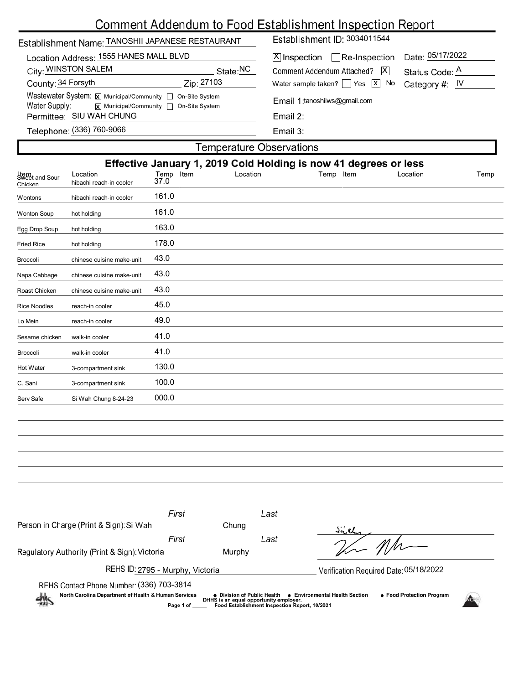# Comment Addendum to Food Establishment Inspection Report

| Establishment Name: TANOSHII JAPANESE RESTAURANT                                                                                   | Establishment ID: 3034011544                                                                         |  |  |  |  |  |
|------------------------------------------------------------------------------------------------------------------------------------|------------------------------------------------------------------------------------------------------|--|--|--|--|--|
| Location Address: 1555 HANES MALL BLVD<br>City: WINSTON SALEM<br>State: <sup>NC</sup>                                              | Date: 05/17/2022<br>$X$ Inspection Re-Inspection<br>Comment Addendum Attached?   X<br>Status Code: A |  |  |  |  |  |
| Zip: 27103<br>County: 34 Forsyth                                                                                                   | Water sample taken? $\sqrt{Y}$ Yes $\sqrt{X}$ No<br>Category #: $IV$                                 |  |  |  |  |  |
| Wastewater System: $\boxtimes$ Municipal/Community $\Box$ On-Site System<br>Water Supply:<br>X Municipal/Community non-Site System | Email 1:tanoshiiws@gmail.com                                                                         |  |  |  |  |  |
| Permittee: SIU WAH CHUNG                                                                                                           | Email 2:                                                                                             |  |  |  |  |  |
| Telephone: (336) 760-9066                                                                                                          | Email $3:$                                                                                           |  |  |  |  |  |
| <b>Temperature Observations</b>                                                                                                    |                                                                                                      |  |  |  |  |  |

| Effective January 1, 2019 Cold Holding is now 41 degrees or less |                                     |                   |          |           |          |      |  |  |
|------------------------------------------------------------------|-------------------------------------|-------------------|----------|-----------|----------|------|--|--|
| Item<br>Sweet and Sour<br>Chicken                                | Location<br>hibachi reach-in cooler | Temp Item<br>37.0 | Location | Temp Item | Location | Temp |  |  |
| Wontons                                                          | hibachi reach-in cooler             | 161.0             |          |           |          |      |  |  |
| Wonton Soup                                                      | hot holding                         | 161.0             |          |           |          |      |  |  |
| Egg Drop Soup                                                    | hot holding                         | 163.0             |          |           |          |      |  |  |
| <b>Fried Rice</b>                                                | hot holding                         | 178.0             |          |           |          |      |  |  |
| Broccoli                                                         | chinese cuisine make-unit           | 43.0              |          |           |          |      |  |  |
| Napa Cabbage                                                     | chinese cuisine make-unit           | 43.0              |          |           |          |      |  |  |
| Roast Chicken                                                    | chinese cuisine make-unit           | 43.0              |          |           |          |      |  |  |
| <b>Rice Noodles</b>                                              | reach-in cooler                     | 45.0              |          |           |          |      |  |  |
| Lo Mein                                                          | reach-in cooler                     | 49.0              |          |           |          |      |  |  |
| Sesame chicken                                                   | walk-in cooler                      | 41.0              |          |           |          |      |  |  |
| Broccoli                                                         | walk-in cooler                      | 41.0              |          |           |          |      |  |  |
| Hot Water                                                        | 3-compartment sink                  | 130.0             |          |           |          |      |  |  |
| C. Sani                                                          | 3-compartment sink                  | 100.0             |          |           |          |      |  |  |
| Serv Safe                                                        | Si Wah Chung 8-24-23                | 000.0             |          |           |          |      |  |  |
|                                                                  |                                     |                   |          |           |          |      |  |  |

| Person in Charge (Print & Sign): Si Wah                                                                                                                                                                                                                                                                           | First | Chung  | Last                                   |       |  |  |
|-------------------------------------------------------------------------------------------------------------------------------------------------------------------------------------------------------------------------------------------------------------------------------------------------------------------|-------|--------|----------------------------------------|-------|--|--|
| Regulatory Authority (Print & Sign): Victoria                                                                                                                                                                                                                                                                     | First | Murphy | Last                                   | Sully |  |  |
| REHS ID: 2795 - Murphy, Victoria                                                                                                                                                                                                                                                                                  |       |        | Verification Required Date: 05/18/2022 |       |  |  |
| REHS Contact Phone Number: (336) 703-3814<br>North Carolina Department of Health & Human Services<br>• Food Protection Program<br>• Environmental Health Section<br>● Division of Public Health<br>鱂<br>DHHS is an equal opportunity employer.<br>Food Establishment Inspection Report, 10/2021<br>Page 1 of ____ |       |        |                                        |       |  |  |